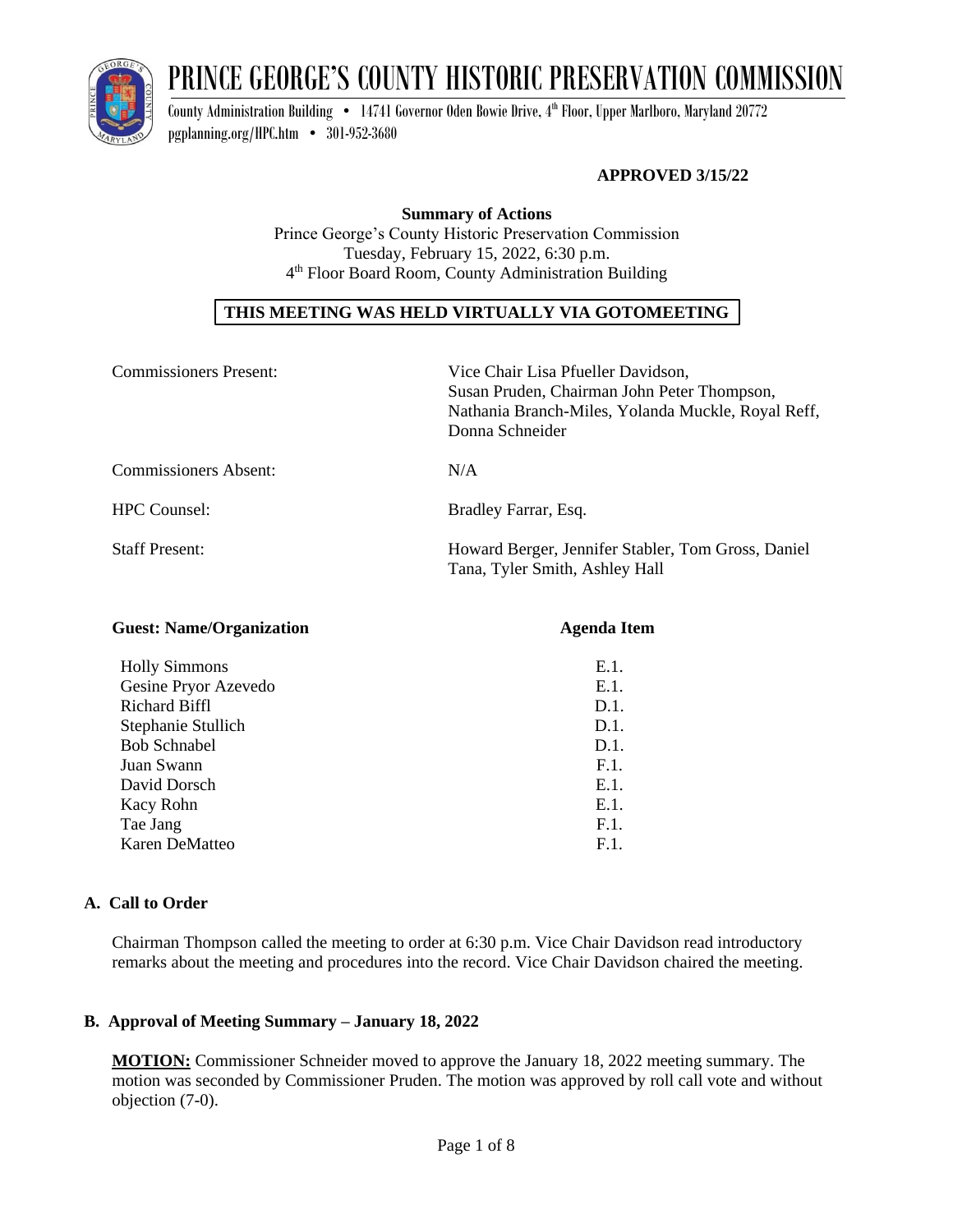

# PRINCE GEORGE'S COUNTY HISTORIC PRESERVATION COMMISSION

County Administration Building • 14741 Governor Oden Bowie Drive, 4<sup>th</sup> Floor, Upper Marlboro, Maryland 20772 [pgplanning.org/HPC.htm](http://www.pgplanning.org/HPC.htm) • 301-952-3680

# **APPROVED 3/15/22**

**Summary of Actions** Prince George's County Historic Preservation Commission Tuesday, February 15, 2022, 6:30 p.m. 4 th Floor Board Room, County Administration Building

# **THIS MEETING WAS HELD VIRTUALLY VIA GOTOMEETING**

| <b>Commissioners Present:</b> | Vice Chair Lisa Pfueller Davidson,<br>Susan Pruden, Chairman John Peter Thompson,<br>Nathania Branch-Miles, Yolanda Muckle, Royal Reff,<br>Donna Schneider |
|-------------------------------|------------------------------------------------------------------------------------------------------------------------------------------------------------|
| <b>Commissioners Absent:</b>  | N/A                                                                                                                                                        |
| <b>HPC</b> Counsel:           | Bradley Farrar, Esq.                                                                                                                                       |
| <b>Staff Present:</b>         | Howard Berger, Jennifer Stabler, Tom Gross, Daniel<br>Tana, Tyler Smith, Ashley Hall                                                                       |

| <b>Agenda Item</b> |
|--------------------|
| E.1.               |
| E.1.               |
| D.1.               |
| D.1.               |
| D.1.               |
| F.1.               |
| $E.1$ .            |
| E.1.               |
| F.1.               |
| F.1.               |
|                    |

# **A. Call to Order**

Chairman Thompson called the meeting to order at 6:30 p.m. Vice Chair Davidson read introductory remarks about the meeting and procedures into the record. Vice Chair Davidson chaired the meeting.

# **B. Approval of Meeting Summary – January 18, 2022**

**MOTION:** Commissioner Schneider moved to approve the January 18, 2022 meeting summary. The motion was seconded by Commissioner Pruden. The motion was approved by roll call vote and without objection (7-0).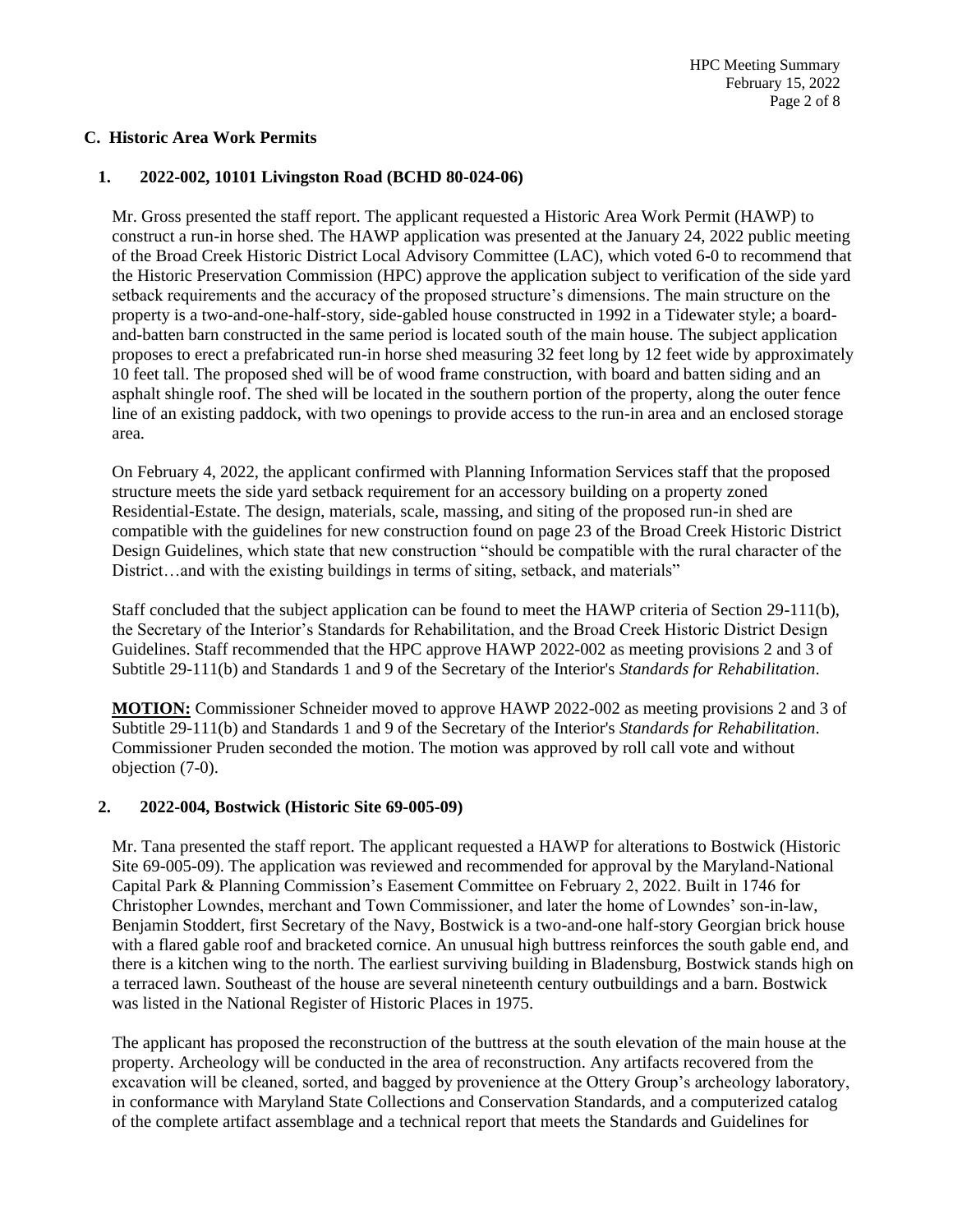# **C. Historic Area Work Permits**

#### **1. 2022-002, 10101 Livingston Road (BCHD 80-024-06)**

Mr. Gross presented the staff report. The applicant requested a Historic Area Work Permit (HAWP) to construct a run-in horse shed. The HAWP application was presented at the January 24, 2022 public meeting of the Broad Creek Historic District Local Advisory Committee (LAC), which voted 6-0 to recommend that the Historic Preservation Commission (HPC) approve the application subject to verification of the side yard setback requirements and the accuracy of the proposed structure's dimensions. The main structure on the property is a two-and-one-half-story, side-gabled house constructed in 1992 in a Tidewater style; a boardand-batten barn constructed in the same period is located south of the main house. The subject application proposes to erect a prefabricated run-in horse shed measuring 32 feet long by 12 feet wide by approximately 10 feet tall. The proposed shed will be of wood frame construction, with board and batten siding and an asphalt shingle roof. The shed will be located in the southern portion of the property, along the outer fence line of an existing paddock, with two openings to provide access to the run-in area and an enclosed storage area.

On February 4, 2022, the applicant confirmed with Planning Information Services staff that the proposed structure meets the side yard setback requirement for an accessory building on a property zoned Residential-Estate. The design, materials, scale, massing, and siting of the proposed run-in shed are compatible with the guidelines for new construction found on page 23 of the Broad Creek Historic District Design Guidelines, which state that new construction "should be compatible with the rural character of the District…and with the existing buildings in terms of siting, setback, and materials"

Staff concluded that the subject application can be found to meet the HAWP criteria of Section 29-111(b), the Secretary of the Interior's Standards for Rehabilitation, and the Broad Creek Historic District Design Guidelines. Staff recommended that the HPC approve HAWP 2022-002 as meeting provisions 2 and 3 of Subtitle 29-111(b) and Standards 1 and 9 of the Secretary of the Interior's *Standards for Rehabilitation*.

**MOTION:** Commissioner Schneider moved to approve HAWP 2022-002 as meeting provisions 2 and 3 of Subtitle 29-111(b) and Standards 1 and 9 of the Secretary of the Interior's *Standards for Rehabilitation*. Commissioner Pruden seconded the motion. The motion was approved by roll call vote and without objection (7-0).

#### **2. 2022-004, Bostwick (Historic Site 69-005-09)**

Mr. Tana presented the staff report. The applicant requested a HAWP for alterations to Bostwick (Historic Site 69-005-09). The application was reviewed and recommended for approval by the Maryland-National Capital Park & Planning Commission's Easement Committee on February 2, 2022. Built in 1746 for Christopher Lowndes, merchant and Town Commissioner, and later the home of Lowndes' son-in-law, Benjamin Stoddert, first Secretary of the Navy, Bostwick is a two-and-one half-story Georgian brick house with a flared gable roof and bracketed cornice. An unusual high buttress reinforces the south gable end, and there is a kitchen wing to the north. The earliest surviving building in Bladensburg, Bostwick stands high on a terraced lawn. Southeast of the house are several nineteenth century outbuildings and a barn. Bostwick was listed in the National Register of Historic Places in 1975.

The applicant has proposed the reconstruction of the buttress at the south elevation of the main house at the property. Archeology will be conducted in the area of reconstruction. Any artifacts recovered from the excavation will be cleaned, sorted, and bagged by provenience at the Ottery Group's archeology laboratory, in conformance with Maryland State Collections and Conservation Standards, and a computerized catalog of the complete artifact assemblage and a technical report that meets the Standards and Guidelines for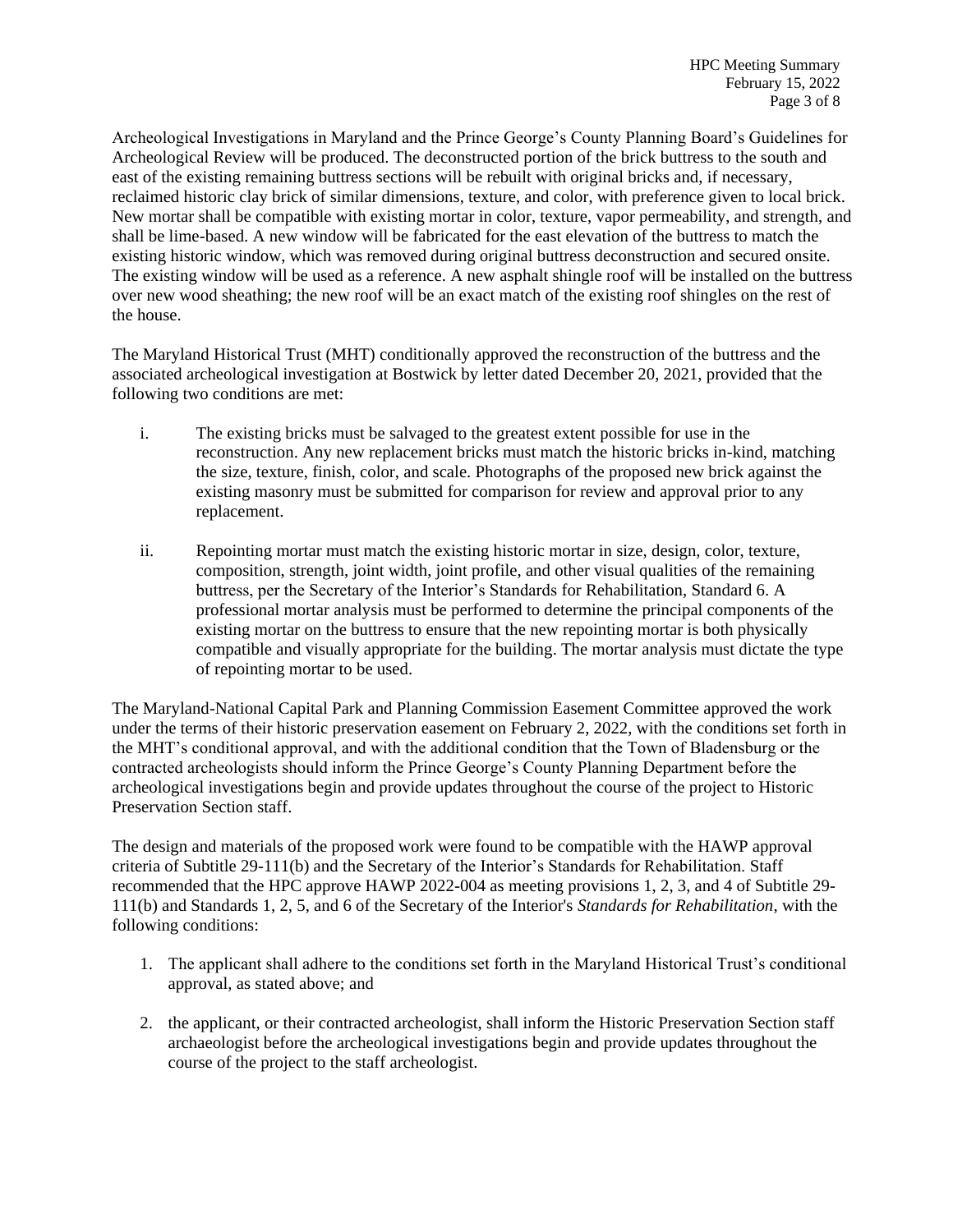Archeological Investigations in Maryland and the Prince George's County Planning Board's Guidelines for Archeological Review will be produced. The deconstructed portion of the brick buttress to the south and east of the existing remaining buttress sections will be rebuilt with original bricks and, if necessary, reclaimed historic clay brick of similar dimensions, texture, and color, with preference given to local brick. New mortar shall be compatible with existing mortar in color, texture, vapor permeability, and strength, and shall be lime-based. A new window will be fabricated for the east elevation of the buttress to match the existing historic window, which was removed during original buttress deconstruction and secured onsite. The existing window will be used as a reference. A new asphalt shingle roof will be installed on the buttress over new wood sheathing; the new roof will be an exact match of the existing roof shingles on the rest of the house.

The Maryland Historical Trust (MHT) conditionally approved the reconstruction of the buttress and the associated archeological investigation at Bostwick by letter dated December 20, 2021, provided that the following two conditions are met:

- i. The existing bricks must be salvaged to the greatest extent possible for use in the reconstruction. Any new replacement bricks must match the historic bricks in-kind, matching the size, texture, finish, color, and scale. Photographs of the proposed new brick against the existing masonry must be submitted for comparison for review and approval prior to any replacement.
- ii. Repointing mortar must match the existing historic mortar in size, design, color, texture, composition, strength, joint width, joint profile, and other visual qualities of the remaining buttress, per the Secretary of the Interior's Standards for Rehabilitation, Standard 6. A professional mortar analysis must be performed to determine the principal components of the existing mortar on the buttress to ensure that the new repointing mortar is both physically compatible and visually appropriate for the building. The mortar analysis must dictate the type of repointing mortar to be used.

The Maryland-National Capital Park and Planning Commission Easement Committee approved the work under the terms of their historic preservation easement on February 2, 2022, with the conditions set forth in the MHT's conditional approval, and with the additional condition that the Town of Bladensburg or the contracted archeologists should inform the Prince George's County Planning Department before the archeological investigations begin and provide updates throughout the course of the project to Historic Preservation Section staff.

The design and materials of the proposed work were found to be compatible with the HAWP approval criteria of Subtitle 29-111(b) and the Secretary of the Interior's Standards for Rehabilitation. Staff recommended that the HPC approve HAWP 2022-004 as meeting provisions 1, 2, 3, and 4 of Subtitle 29- 111(b) and Standards 1, 2, 5, and 6 of the Secretary of the Interior's *Standards for Rehabilitation*, with the following conditions:

- 1. The applicant shall adhere to the conditions set forth in the Maryland Historical Trust's conditional approval, as stated above; and
- 2. the applicant, or their contracted archeologist, shall inform the Historic Preservation Section staff archaeologist before the archeological investigations begin and provide updates throughout the course of the project to the staff archeologist.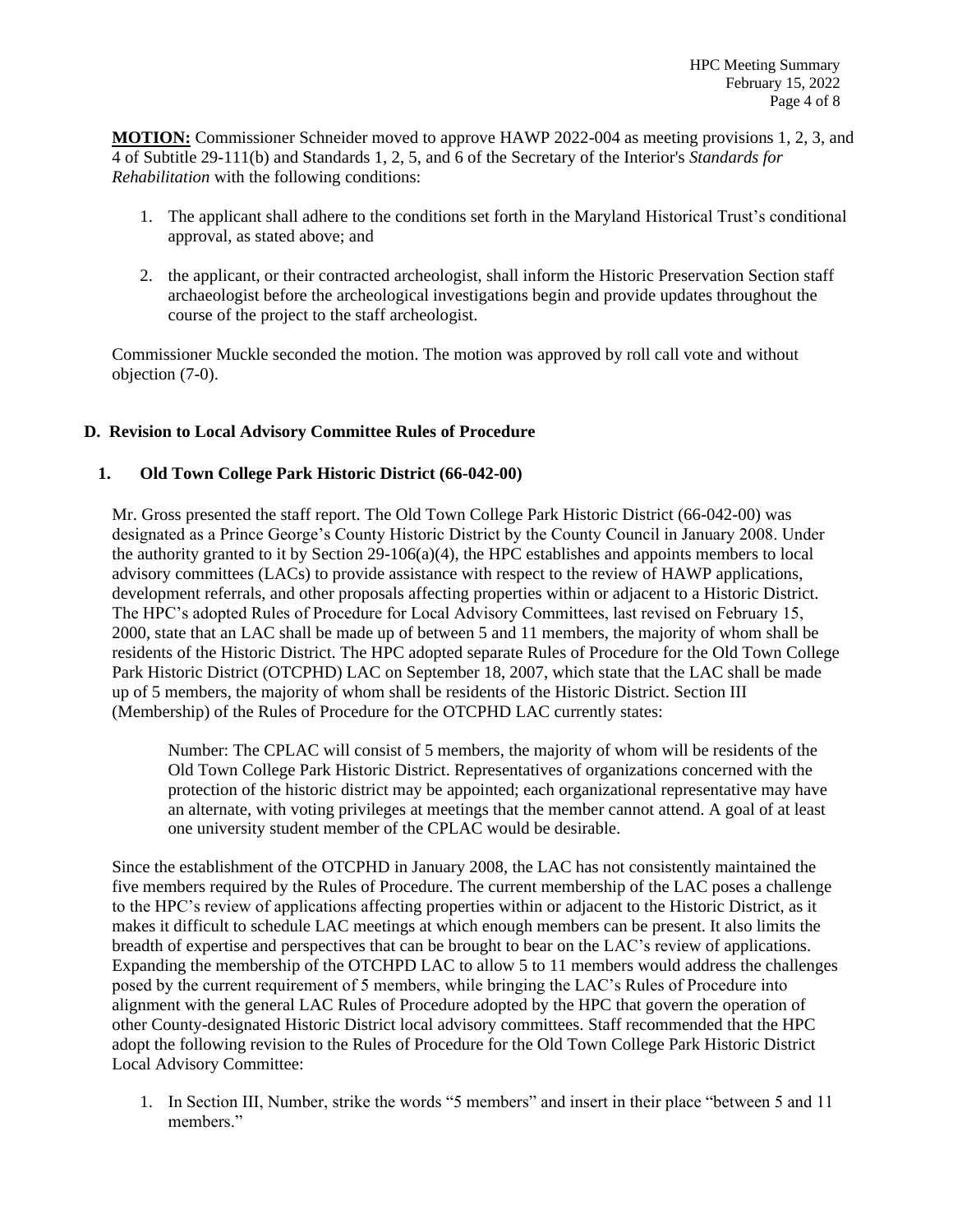**MOTION:** Commissioner Schneider moved to approve HAWP 2022-004 as meeting provisions 1, 2, 3, and 4 of Subtitle 29-111(b) and Standards 1, 2, 5, and 6 of the Secretary of the Interior's *Standards for Rehabilitation* with the following conditions:

- 1. The applicant shall adhere to the conditions set forth in the Maryland Historical Trust's conditional approval, as stated above; and
- 2. the applicant, or their contracted archeologist, shall inform the Historic Preservation Section staff archaeologist before the archeological investigations begin and provide updates throughout the course of the project to the staff archeologist.

Commissioner Muckle seconded the motion. The motion was approved by roll call vote and without objection (7-0).

# **D. Revision to Local Advisory Committee Rules of Procedure**

# **1. Old Town College Park Historic District (66-042-00)**

Mr. Gross presented the staff report. The Old Town College Park Historic District (66-042-00) was designated as a Prince George's County Historic District by the County Council in January 2008. Under the authority granted to it by Section 29-106(a)(4), the HPC establishes and appoints members to local advisory committees (LACs) to provide assistance with respect to the review of HAWP applications, development referrals, and other proposals affecting properties within or adjacent to a Historic District. The HPC's adopted Rules of Procedure for Local Advisory Committees, last revised on February 15, 2000, state that an LAC shall be made up of between 5 and 11 members, the majority of whom shall be residents of the Historic District. The HPC adopted separate Rules of Procedure for the Old Town College Park Historic District (OTCPHD) LAC on September 18, 2007, which state that the LAC shall be made up of 5 members, the majority of whom shall be residents of the Historic District. Section III (Membership) of the Rules of Procedure for the OTCPHD LAC currently states:

Number: The CPLAC will consist of 5 members, the majority of whom will be residents of the Old Town College Park Historic District. Representatives of organizations concerned with the protection of the historic district may be appointed; each organizational representative may have an alternate, with voting privileges at meetings that the member cannot attend. A goal of at least one university student member of the CPLAC would be desirable.

Since the establishment of the OTCPHD in January 2008, the LAC has not consistently maintained the five members required by the Rules of Procedure. The current membership of the LAC poses a challenge to the HPC's review of applications affecting properties within or adjacent to the Historic District, as it makes it difficult to schedule LAC meetings at which enough members can be present. It also limits the breadth of expertise and perspectives that can be brought to bear on the LAC's review of applications. Expanding the membership of the OTCHPD LAC to allow 5 to 11 members would address the challenges posed by the current requirement of 5 members, while bringing the LAC's Rules of Procedure into alignment with the general LAC Rules of Procedure adopted by the HPC that govern the operation of other County-designated Historic District local advisory committees. Staff recommended that the HPC adopt the following revision to the Rules of Procedure for the Old Town College Park Historic District Local Advisory Committee:

1. In Section III, Number, strike the words "5 members" and insert in their place "between 5 and 11 members."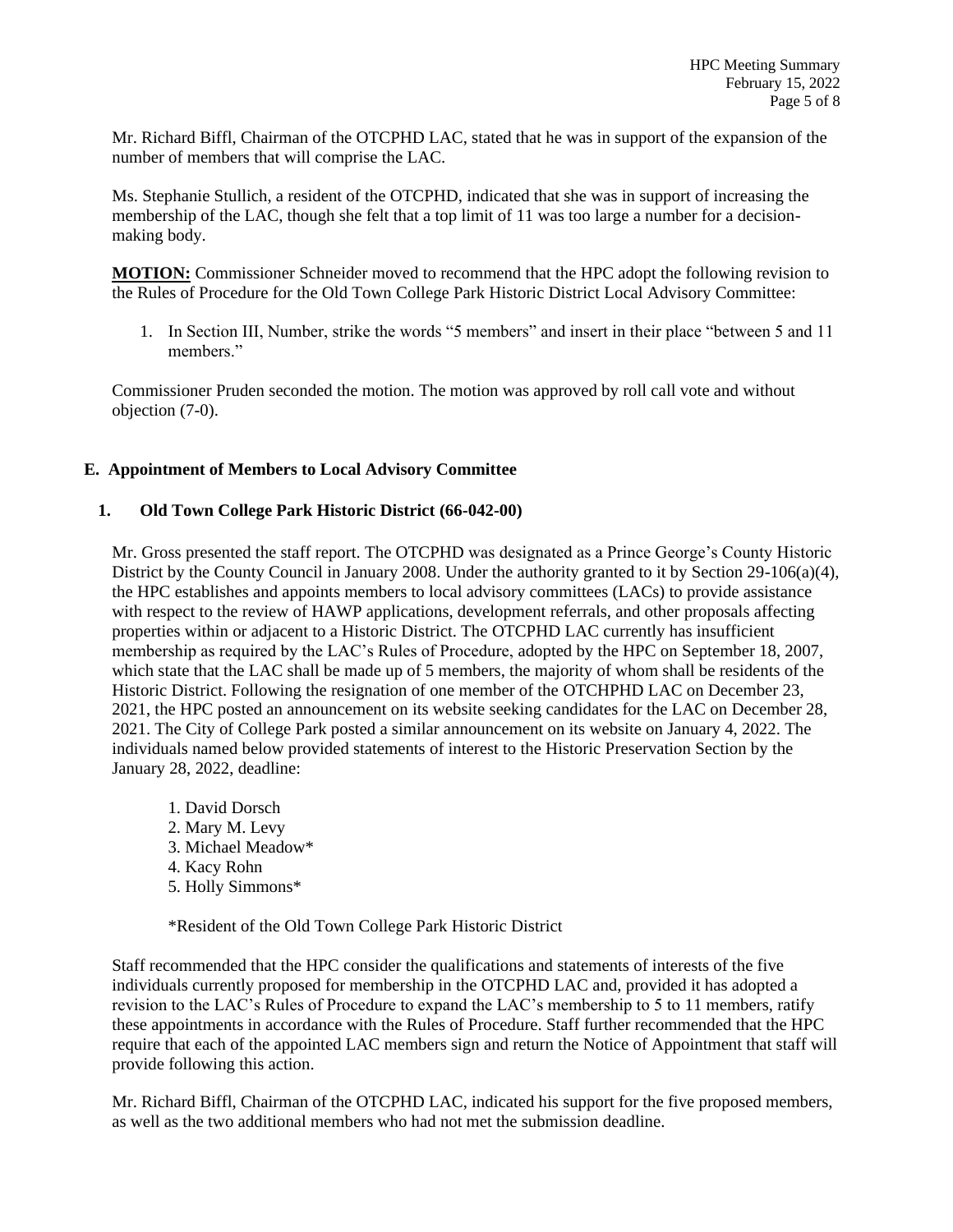Mr. Richard Biffl, Chairman of the OTCPHD LAC, stated that he was in support of the expansion of the number of members that will comprise the LAC.

Ms. Stephanie Stullich, a resident of the OTCPHD, indicated that she was in support of increasing the membership of the LAC, though she felt that a top limit of 11 was too large a number for a decisionmaking body.

**MOTION:** Commissioner Schneider moved to recommend that the HPC adopt the following revision to the Rules of Procedure for the Old Town College Park Historic District Local Advisory Committee:

1. In Section III, Number, strike the words "5 members" and insert in their place "between 5 and 11 members."

Commissioner Pruden seconded the motion. The motion was approved by roll call vote and without objection (7-0).

# **E. Appointment of Members to Local Advisory Committee**

#### **1. Old Town College Park Historic District (66-042-00)**

Mr. Gross presented the staff report. The OTCPHD was designated as a Prince George's County Historic District by the County Council in January 2008. Under the authority granted to it by Section 29-106(a)(4), the HPC establishes and appoints members to local advisory committees (LACs) to provide assistance with respect to the review of HAWP applications, development referrals, and other proposals affecting properties within or adjacent to a Historic District. The OTCPHD LAC currently has insufficient membership as required by the LAC's Rules of Procedure, adopted by the HPC on September 18, 2007, which state that the LAC shall be made up of 5 members, the majority of whom shall be residents of the Historic District. Following the resignation of one member of the OTCHPHD LAC on December 23, 2021, the HPC posted an announcement on its website seeking candidates for the LAC on December 28, 2021. The City of College Park posted a similar announcement on its website on January 4, 2022. The individuals named below provided statements of interest to the Historic Preservation Section by the January 28, 2022, deadline:

1. David Dorsch 2. Mary M. Levy 3. Michael Meadow\* 4. Kacy Rohn 5. Holly Simmons\*

\*Resident of the Old Town College Park Historic District

Staff recommended that the HPC consider the qualifications and statements of interests of the five individuals currently proposed for membership in the OTCPHD LAC and, provided it has adopted a revision to the LAC's Rules of Procedure to expand the LAC's membership to 5 to 11 members, ratify these appointments in accordance with the Rules of Procedure. Staff further recommended that the HPC require that each of the appointed LAC members sign and return the Notice of Appointment that staff will provide following this action.

Mr. Richard Biffl, Chairman of the OTCPHD LAC, indicated his support for the five proposed members, as well as the two additional members who had not met the submission deadline.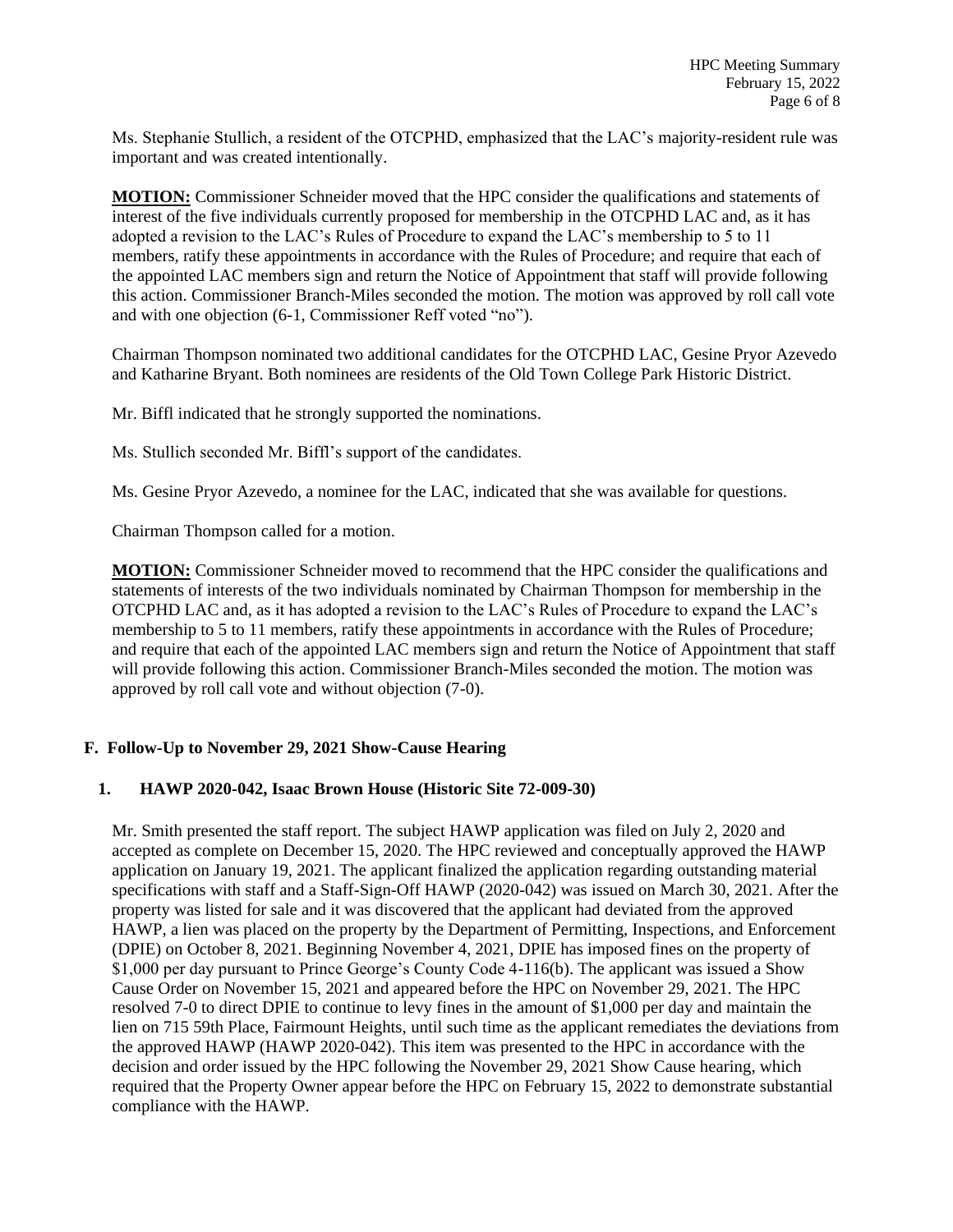Ms. Stephanie Stullich, a resident of the OTCPHD, emphasized that the LAC's majority-resident rule was important and was created intentionally.

**MOTION:** Commissioner Schneider moved that the HPC consider the qualifications and statements of interest of the five individuals currently proposed for membership in the OTCPHD LAC and, as it has adopted a revision to the LAC's Rules of Procedure to expand the LAC's membership to 5 to 11 members, ratify these appointments in accordance with the Rules of Procedure; and require that each of the appointed LAC members sign and return the Notice of Appointment that staff will provide following this action. Commissioner Branch-Miles seconded the motion. The motion was approved by roll call vote and with one objection (6-1, Commissioner Reff voted "no").

Chairman Thompson nominated two additional candidates for the OTCPHD LAC, Gesine Pryor Azevedo and Katharine Bryant. Both nominees are residents of the Old Town College Park Historic District.

Mr. Biffl indicated that he strongly supported the nominations.

Ms. Stullich seconded Mr. Biffl's support of the candidates.

Ms. Gesine Pryor Azevedo, a nominee for the LAC, indicated that she was available for questions.

Chairman Thompson called for a motion.

**MOTION:** Commissioner Schneider moved to recommend that the HPC consider the qualifications and statements of interests of the two individuals nominated by Chairman Thompson for membership in the OTCPHD LAC and, as it has adopted a revision to the LAC's Rules of Procedure to expand the LAC's membership to 5 to 11 members, ratify these appointments in accordance with the Rules of Procedure; and require that each of the appointed LAC members sign and return the Notice of Appointment that staff will provide following this action. Commissioner Branch-Miles seconded the motion. The motion was approved by roll call vote and without objection (7-0).

# **F. Follow-Up to November 29, 2021 Show-Cause Hearing**

# **1. HAWP 2020-042, Isaac Brown House (Historic Site 72-009-30)**

Mr. Smith presented the staff report. The subject HAWP application was filed on July 2, 2020 and accepted as complete on December 15, 2020. The HPC reviewed and conceptually approved the HAWP application on January 19, 2021. The applicant finalized the application regarding outstanding material specifications with staff and a Staff-Sign-Off HAWP (2020-042) was issued on March 30, 2021. After the property was listed for sale and it was discovered that the applicant had deviated from the approved HAWP, a lien was placed on the property by the Department of Permitting, Inspections, and Enforcement (DPIE) on October 8, 2021. Beginning November 4, 2021, DPIE has imposed fines on the property of \$1,000 per day pursuant to Prince George's County Code 4-116(b). The applicant was issued a Show Cause Order on November 15, 2021 and appeared before the HPC on November 29, 2021. The HPC resolved 7-0 to direct DPIE to continue to levy fines in the amount of \$1,000 per day and maintain the lien on 715 59th Place, Fairmount Heights, until such time as the applicant remediates the deviations from the approved HAWP (HAWP 2020-042). This item was presented to the HPC in accordance with the decision and order issued by the HPC following the November 29, 2021 Show Cause hearing, which required that the Property Owner appear before the HPC on February 15, 2022 to demonstrate substantial compliance with the HAWP.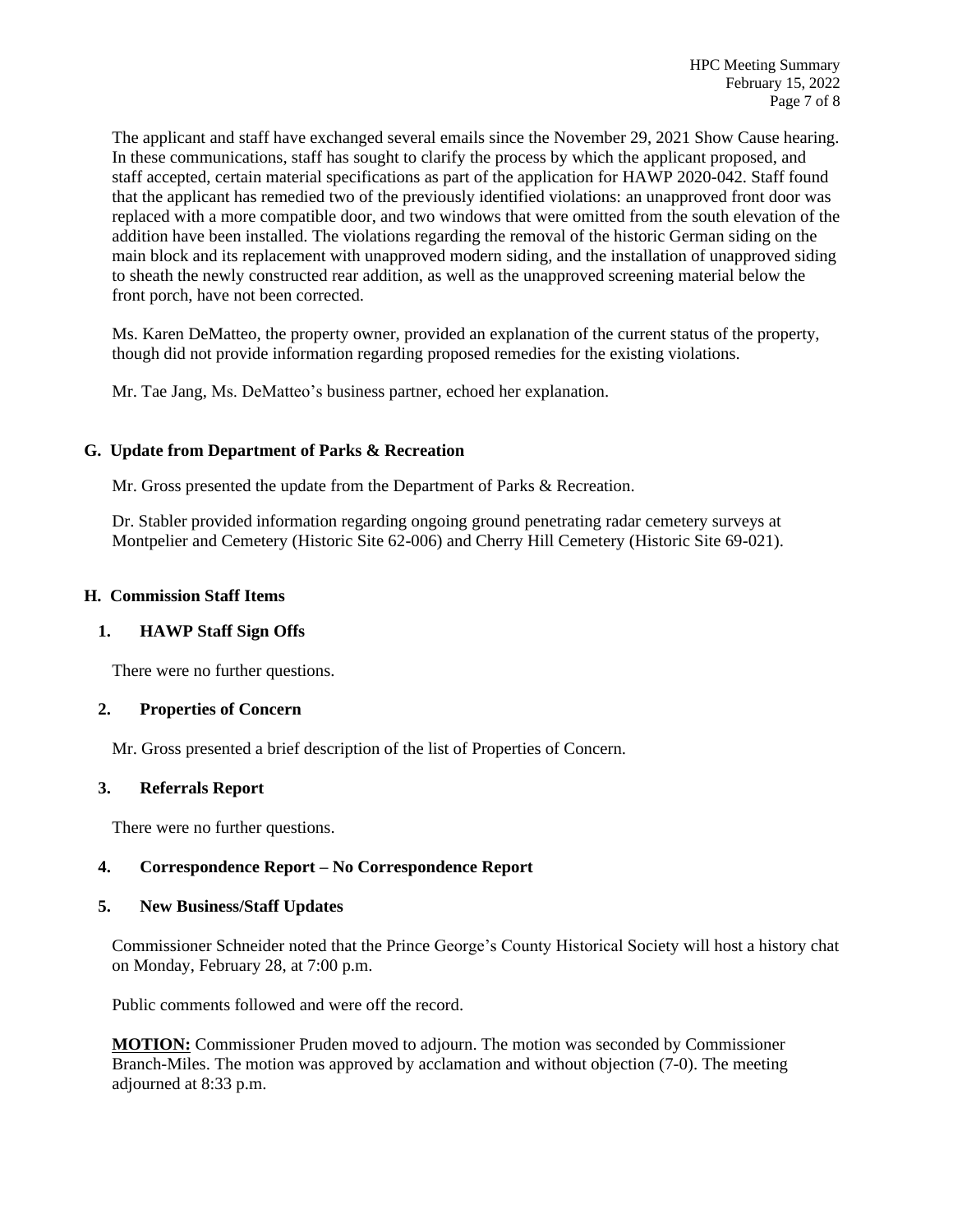The applicant and staff have exchanged several emails since the November 29, 2021 Show Cause hearing. In these communications, staff has sought to clarify the process by which the applicant proposed, and staff accepted, certain material specifications as part of the application for HAWP 2020-042. Staff found that the applicant has remedied two of the previously identified violations: an unapproved front door was replaced with a more compatible door, and two windows that were omitted from the south elevation of the addition have been installed. The violations regarding the removal of the historic German siding on the main block and its replacement with unapproved modern siding, and the installation of unapproved siding to sheath the newly constructed rear addition, as well as the unapproved screening material below the front porch, have not been corrected.

Ms. Karen DeMatteo, the property owner, provided an explanation of the current status of the property, though did not provide information regarding proposed remedies for the existing violations.

Mr. Tae Jang, Ms. DeMatteo's business partner, echoed her explanation.

# **G. Update from Department of Parks & Recreation**

Mr. Gross presented the update from the Department of Parks & Recreation.

Dr. Stabler provided information regarding ongoing ground penetrating radar cemetery surveys at Montpelier and Cemetery (Historic Site 62-006) and Cherry Hill Cemetery (Historic Site 69-021).

# **H. Commission Staff Items**

# **1. HAWP Staff Sign Offs**

There were no further questions.

# **2. Properties of Concern**

Mr. Gross presented a brief description of the list of Properties of Concern.

#### **3. Referrals Report**

There were no further questions.

# **4. Correspondence Report – No Correspondence Report**

# **5. New Business/Staff Updates**

Commissioner Schneider noted that the Prince George's County Historical Society will host a history chat on Monday, February 28, at 7:00 p.m.

Public comments followed and were off the record.

**MOTION:** Commissioner Pruden moved to adjourn. The motion was seconded by Commissioner Branch-Miles. The motion was approved by acclamation and without objection (7-0). The meeting adjourned at 8:33 p.m.